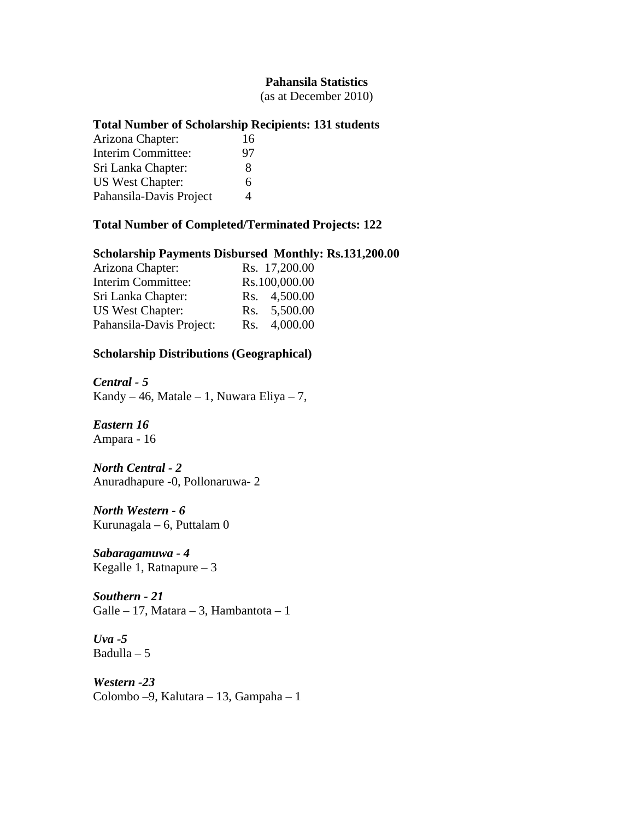#### **Pahansila Statistics**

(as at December 2010)

#### **Total Number of Scholarship Recipients: 131 students**

| Arizona Chapter:        | 16 |
|-------------------------|----|
| Interim Committee:      | 97 |
| Sri Lanka Chapter:      | 8  |
| <b>US West Chapter:</b> | 6  |
| Pahansila-Davis Project | 4  |

### **Total Number of Completed/Terminated Projects: 122**

# **Scholarship Payments Disbursed Monthly: Rs.131,200.00**

| Arizona Chapter:         |     | Rs. 17,200.00 |
|--------------------------|-----|---------------|
| Interim Committee:       |     | Rs.100,000.00 |
| Sri Lanka Chapter:       |     | Rs. 4,500.00  |
| <b>US West Chapter:</b>  |     | Rs. 5,500.00  |
| Pahansila-Davis Project: | Rs. | 4,000.00      |

#### **Scholarship Distributions (Geographical)**

*Central - 5* 

Kandy – 46, Matale – 1, Nuwara Eliya – 7,

*Eastern 16*  Ampara - 16

#### *North Central - 2*  Anuradhapure -0, Pollonaruwa- 2

*North Western - 6*  Kurunagala – 6, Puttalam 0

*Sabaragamuwa - 4*  Kegalle 1, Ratnapure – 3

*Southern - 21*  Galle – 17, Matara – 3, Hambantota – 1

*Uva -5*  Badulla – 5

*Western -23*  Colombo –9, Kalutara – 13, Gampaha – 1